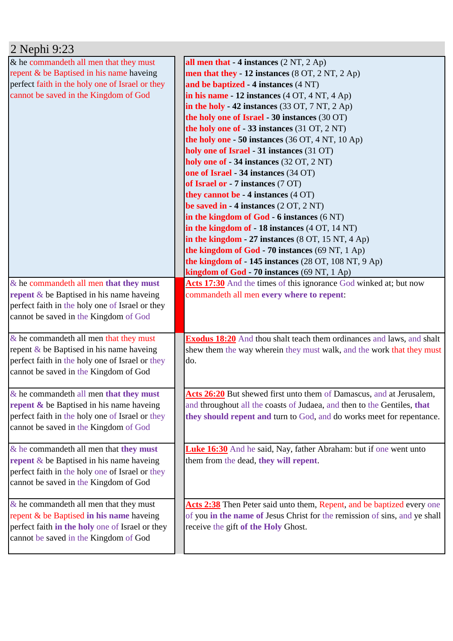| 2 Nephi 9:23                                        |                                                                              |
|-----------------------------------------------------|------------------------------------------------------------------------------|
| & he commandeth all men that they must              | all men that $-4$ instances $(2 \text{ NT}, 2 \text{ Ap})$                   |
| repent & be Baptised in his name haveing            | men that they - 12 instances (8 OT, 2 NT, 2 Ap)                              |
| perfect faith in the holy one of Israel or they     | and be baptized - 4 instances (4 NT)                                         |
| cannot be saved in the Kingdom of God               | in his name $-12$ instances $(4 OT, 4 NT, 4 Ap)$                             |
|                                                     | in the holy - 42 instances (33 OT, 7 NT, 2 Ap)                               |
|                                                     | the holy one of Israel - 30 instances (30 OT)                                |
|                                                     | the holy one of - 33 instances (31 OT, 2 NT)                                 |
|                                                     | the holy one - 50 instances (36 OT, 4 NT, 10 Ap)                             |
|                                                     | holy one of Israel - 31 instances (31 OT)                                    |
|                                                     | holy one of - 34 instances (32 OT, 2 NT)                                     |
|                                                     | one of Israel - 34 instances (34 OT)                                         |
|                                                     | of Israel or - 7 instances (7 OT)                                            |
|                                                     | they cannot be $-4$ instances $(4 \text{ OT})$                               |
|                                                     | be saved in $-4$ instances $(2 OT, 2 NT)$                                    |
|                                                     | in the kingdom of $God - 6$ instances $(6 NT)$                               |
|                                                     | in the kingdom of - 18 instances (4 OT, 14 NT)                               |
|                                                     | in the kingdom - 27 instances $(8 \text{ OT}, 15 \text{ NT}, 4 \text{ Ap})$  |
|                                                     | the kingdom of God - 70 instances (69 NT, 1 Ap)                              |
|                                                     | the kingdom of - 145 instances (28 OT, 108 NT, 9 Ap)                         |
|                                                     | kingdom of God - 70 instances (69 NT, 1 Ap)                                  |
| & he commandeth all men that they must              | Acts 17:30 And the times of this ignorance God winked at; but now            |
| repent $\&$ be Baptised in his name haveing         | commandeth all men every where to repent:                                    |
| perfect faith in the holy one of Israel or they     |                                                                              |
| cannot be saved in the Kingdom of God               |                                                                              |
|                                                     |                                                                              |
| $&$ he commandeth all men that they must            | <b>Exodus 18:20</b> And thou shalt teach them ordinances and laws, and shalt |
| repent $\&$ be Baptised in his name haveing         | shew them the way wherein they must walk, and the work that they must        |
| perfect faith in the holy one of Israel or they     | do.                                                                          |
| cannot be saved in the Kingdom of God               |                                                                              |
|                                                     |                                                                              |
| $&$ he commandeth all men that they must            | Acts 26:20 But shewed first unto them of Damascus, and at Jerusalem,         |
| <b>repent &amp; be Baptised in his name haveing</b> | and throughout all the coasts of Judaea, and then to the Gentiles, that      |
| perfect faith in the holy one of Israel or they     | they should repent and turn to God, and do works meet for repentance.        |
| cannot be saved in the Kingdom of God               |                                                                              |
|                                                     |                                                                              |
| $&$ he commandeth all men that they must            | <b>Luke 16:30</b> And he said, Nay, father Abraham: but if one went unto     |
| <b>repent</b> $\&$ be Baptised in his name haveing  | them from the dead, they will repent.                                        |
| perfect faith in the holy one of Israel or they     |                                                                              |
| cannot be saved in the Kingdom of God               |                                                                              |
|                                                     |                                                                              |
| $\&$ he commandeth all men that they must           | Acts 2:38 Then Peter said unto them, Repent, and be baptized every one       |
| repent & be Baptised in his name haveing            | of you in the name of Jesus Christ for the remission of sins, and ye shall   |
| perfect faith in the holy one of Israel or they     | receive the gift of the Holy Ghost.                                          |
| cannot be saved in the Kingdom of God               |                                                                              |
|                                                     |                                                                              |